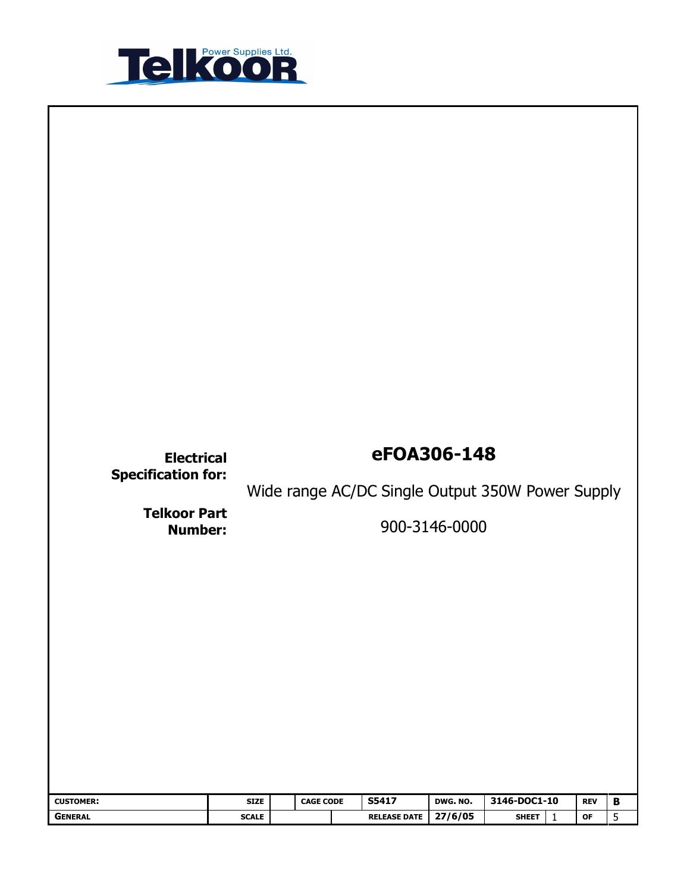

| <b>Electrical</b><br><b>Specification for:</b> |                             | eFOA306-148<br>Wide range AC/DC Single Output 350W Power Supply |  |                                     |                     |                              |              |                  |                   |
|------------------------------------------------|-----------------------------|-----------------------------------------------------------------|--|-------------------------------------|---------------------|------------------------------|--------------|------------------|-------------------|
| <b>Telkoor Part</b><br><b>Number:</b>          |                             | 900-3146-0000                                                   |  |                                     |                     |                              |              |                  |                   |
|                                                |                             |                                                                 |  |                                     |                     |                              |              |                  |                   |
| <b>CUSTOMER:</b><br><b>GENERAL</b>             | <b>SIZE</b><br><b>SCALE</b> | <b>CAGE CODE</b>                                                |  | <b>S5417</b><br><b>RELEASE DATE</b> | DWG. NO.<br>27/6/05 | 3146-DOC1-10<br><b>SHEET</b> | $\mathbf{1}$ | <b>REV</b><br>OF | $\, {\bf B}$<br>5 |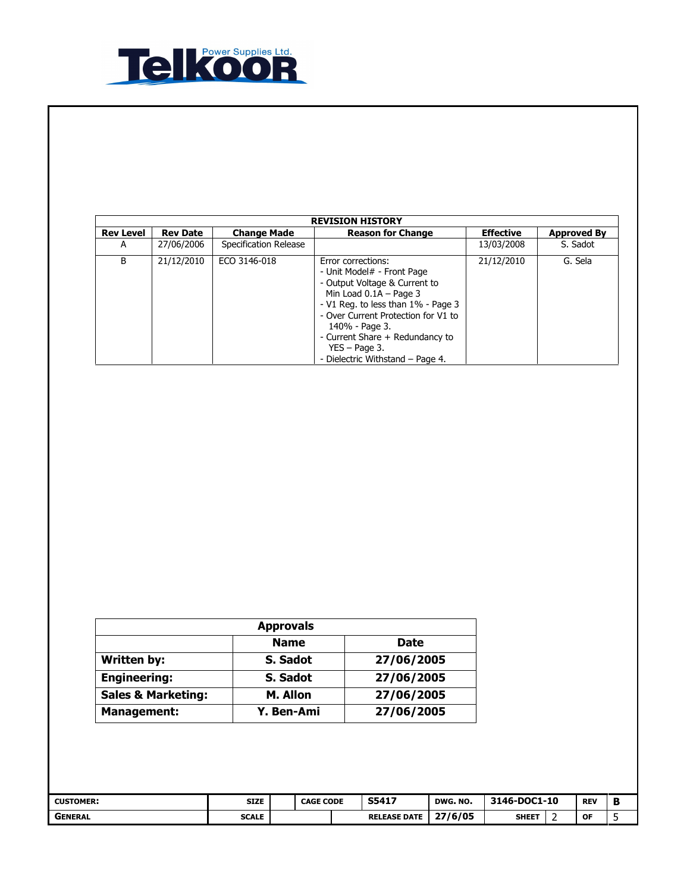

|                  | <b>REVISION HISTORY</b> |                       |                                                                                                                                                                                                                                                                                                        |                  |                    |  |  |  |  |  |  |
|------------------|-------------------------|-----------------------|--------------------------------------------------------------------------------------------------------------------------------------------------------------------------------------------------------------------------------------------------------------------------------------------------------|------------------|--------------------|--|--|--|--|--|--|
| <b>Rev Level</b> | <b>Rev Date</b>         | <b>Change Made</b>    | <b>Reason for Change</b>                                                                                                                                                                                                                                                                               | <b>Effective</b> | <b>Approved By</b> |  |  |  |  |  |  |
| А                | 27/06/2006              | Specification Release |                                                                                                                                                                                                                                                                                                        | 13/03/2008       | S. Sadot           |  |  |  |  |  |  |
| B                | 21/12/2010              | ECO 3146-018          | Error corrections:<br>- Unit Model# - Front Page<br>- Output Voltage & Current to<br>Min Load $0.1A$ – Page 3<br>- V1 Reg. to less than 1% - Page 3<br>- Over Current Protection for V1 to<br>140% - Page 3.<br>- Current Share + Redundancy to<br>$YES - Page 3.$<br>- Dielectric Withstand - Page 4. | 21/12/2010       | G. Sela            |  |  |  |  |  |  |

| <b>Approvals</b>              |             |            |  |  |  |  |
|-------------------------------|-------------|------------|--|--|--|--|
|                               | <b>Name</b> | Date       |  |  |  |  |
| <b>Written by:</b>            | S. Sadot    | 27/06/2005 |  |  |  |  |
| <b>Engineering:</b>           | S. Sadot    | 27/06/2005 |  |  |  |  |
| <b>Sales &amp; Marketing:</b> | M. Allon    | 27/06/2005 |  |  |  |  |
| <b>Management:</b>            | Y. Ben-Ami  | 27/06/2005 |  |  |  |  |

| <b>CUSTOMER:</b> | <b>SIZE</b>  | <b>CAGE CODE</b> |  | S5417               | <b>DWG. NO.</b> | 3146-DOC1-10 |  | <b>REV</b> | в |
|------------------|--------------|------------------|--|---------------------|-----------------|--------------|--|------------|---|
| <b>GENERAL</b>   | <b>SCALE</b> |                  |  | <b>RELEASE DATE</b> | 27/6/05         | <b>SHEET</b> |  | <b>OF</b>  |   |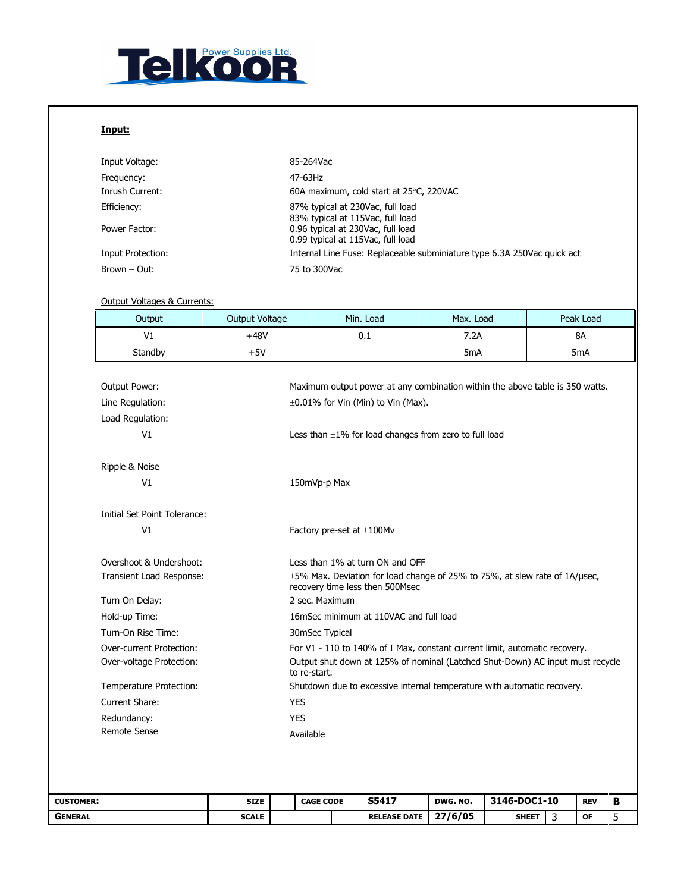

## Input:

| Input Voltage:    | 85-264Vac                                                               |
|-------------------|-------------------------------------------------------------------------|
| Frequency:        | 47-63Hz                                                                 |
| Inrush Current:   | 60A maximum, cold start at 25°C, 220VAC                                 |
| Efficiency:       | 87% typical at 230Vac, full load<br>83% typical at 115Vac, full load    |
| Power Factor:     | 0.96 typical at 230Vac, full load<br>0.99 typical at 115Vac, full load  |
| Input Protection: | Internal Line Fuse: Replaceable subminiature type 6.3A 250Vac quick act |
| Brown - Out:      | 75 to 300Vac                                                            |

## Output Voltages & Currents:

| Output                       | <b>Output Voltage</b> | Min. Load                                                                                                     | Max. Load        | Peak Load        |
|------------------------------|-----------------------|---------------------------------------------------------------------------------------------------------------|------------------|------------------|
| V <sub>1</sub>               | $+48V$                | 0.1                                                                                                           | 7.2A             | <b>8A</b>        |
| Standby                      | $+5V$                 |                                                                                                               | 5 <sub>m</sub> A | 5 <sub>m</sub> A |
|                              |                       |                                                                                                               |                  |                  |
| <b>Output Power:</b>         |                       | Maximum output power at any combination within the above table is 350 watts.                                  |                  |                  |
| Line Regulation:             |                       | $\pm 0.01\%$ for Vin (Min) to Vin (Max).                                                                      |                  |                  |
| Load Regulation:             |                       |                                                                                                               |                  |                  |
| V1                           |                       | Less than $\pm 1\%$ for load changes from zero to full load                                                   |                  |                  |
|                              |                       |                                                                                                               |                  |                  |
| Ripple & Noise               |                       |                                                                                                               |                  |                  |
| V1                           |                       | 150mVp-p Max                                                                                                  |                  |                  |
|                              |                       |                                                                                                               |                  |                  |
| Initial Set Point Tolerance: |                       |                                                                                                               |                  |                  |
| V1                           |                       | Factory pre-set at $\pm 100$ Mv                                                                               |                  |                  |
| Overshoot & Undershoot:      |                       | Less than 1% at turn ON and OFF                                                                               |                  |                  |
| Transient Load Response:     |                       | ±5% Max. Deviation for load change of 25% to 75%, at slew rate of 1A/µsec,<br>recovery time less then 500Msec |                  |                  |
| Turn On Delay:               |                       | 2 sec. Maximum                                                                                                |                  |                  |
| Hold-up Time:                |                       | 16mSec minimum at 110VAC and full load                                                                        |                  |                  |
| Turn-On Rise Time:           |                       | 30mSec Typical                                                                                                |                  |                  |
| Over-current Protection:     |                       | For V1 - 110 to 140% of I Max, constant current limit, automatic recovery.                                    |                  |                  |
| Over-voltage Protection:     |                       | Output shut down at 125% of nominal (Latched Shut-Down) AC input must recycle<br>to re-start.                 |                  |                  |
| Temperature Protection:      |                       | Shutdown due to excessive internal temperature with automatic recovery.                                       |                  |                  |
| Current Share:               | <b>YES</b>            |                                                                                                               |                  |                  |
| Redundancy:                  | <b>YES</b>            |                                                                                                               |                  |                  |
| <b>Remote Sense</b>          | Available             |                                                                                                               |                  |                  |

| <b>CUSTOMER:</b> | <b>SIZE</b>  | <b>CAGE CODE</b> |  | S5417               | DWG. NO. | 3146-DOC1-10 |  | <b>REV</b> |  |
|------------------|--------------|------------------|--|---------------------|----------|--------------|--|------------|--|
| <b>GENERAL</b>   | <b>SCALE</b> |                  |  | <b>RELEASE DATE</b> | 27/6/05  | <b>SHEET</b> |  | OF         |  |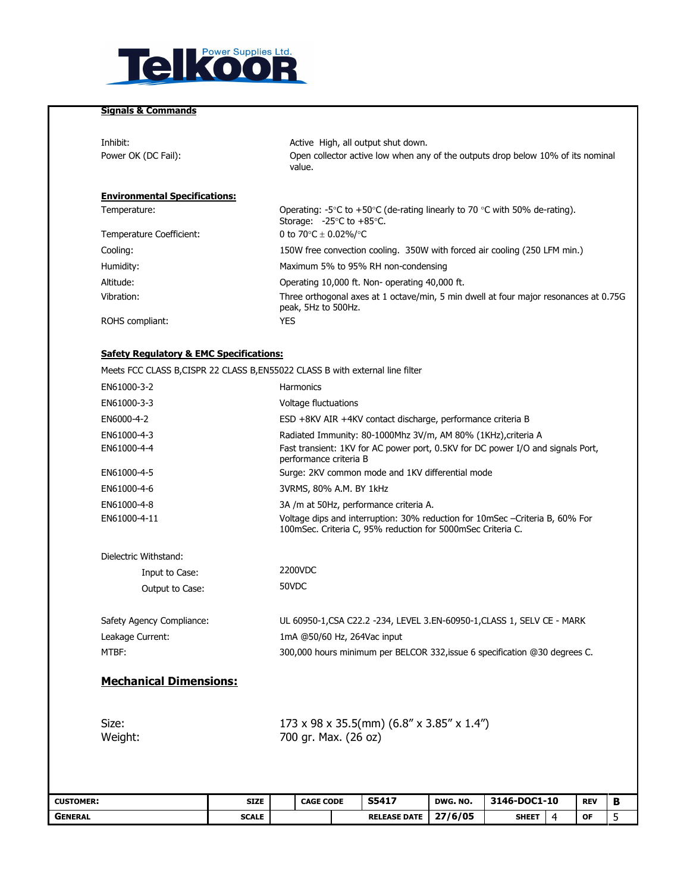

## Signals & Commands

| Inhibit:<br>Power OK (DC Fail):                                                | Active High, all output shut down.<br>Open collector active low when any of the outputs drop below 10% of its nominal<br>value.                         |
|--------------------------------------------------------------------------------|---------------------------------------------------------------------------------------------------------------------------------------------------------|
| <b>Environmental Specifications:</b>                                           |                                                                                                                                                         |
| Temperature:                                                                   | Operating: -5 $\degree$ C to +50 $\degree$ C (de-rating linearly to 70 $\degree$ C with 50% de-rating).<br>Storage: $-25^{\circ}$ C to $+85^{\circ}$ C. |
| Temperature Coefficient:                                                       | 0 to 70 $\degree$ C $\pm$ 0.02%/ $\degree$ C                                                                                                            |
| Cooling:                                                                       | 150W free convection cooling. 350W with forced air cooling (250 LFM min.)                                                                               |
| Humidity:                                                                      | Maximum 5% to 95% RH non-condensing                                                                                                                     |
| Altitude:                                                                      | Operating 10,000 ft. Non- operating 40,000 ft.                                                                                                          |
| Vibration:                                                                     | Three orthogonal axes at 1 octave/min, 5 min dwell at four major resonances at 0.75G<br>peak, 5Hz to 500Hz.                                             |
| ROHS compliant:                                                                | YES                                                                                                                                                     |
|                                                                                |                                                                                                                                                         |
| <b>Safety Regulatory &amp; EMC Specifications:</b>                             |                                                                                                                                                         |
| Meets FCC CLASS B, CISPR 22 CLASS B, EN55022 CLASS B with external line filter |                                                                                                                                                         |
|                                                                                |                                                                                                                                                         |

| GENERAL                       | <b>SCALE</b>    |                                                                                                                                             | <b>RELEASE DATE</b>                                                                                                                                                        |  | 27/6/05  | <b>SHEET</b> | 4 | ΟF         | 5 |  |  |
|-------------------------------|-----------------|---------------------------------------------------------------------------------------------------------------------------------------------|----------------------------------------------------------------------------------------------------------------------------------------------------------------------------|--|----------|--------------|---|------------|---|--|--|
| <b>CUSTOMER:</b>              | <b>SIZE</b>     | <b>CAGE CODE</b>                                                                                                                            | S5417                                                                                                                                                                      |  | DWG. NO. | 3146-DOC1-10 |   | <b>REV</b> | в |  |  |
| Size:<br>Weight:              |                 |                                                                                                                                             | 173 x 98 x 35.5(mm) (6.8" x 3.85" x 1.4")<br>700 gr. Max. (26 oz)                                                                                                          |  |          |              |   |            |   |  |  |
| <b>Mechanical Dimensions:</b> |                 |                                                                                                                                             |                                                                                                                                                                            |  |          |              |   |            |   |  |  |
| MTBF:                         |                 |                                                                                                                                             | 300,000 hours minimum per BELCOR 332, issue 6 specification @30 degrees C.                                                                                                 |  |          |              |   |            |   |  |  |
| Leakage Current:              |                 |                                                                                                                                             | 1mA @50/60 Hz, 264Vac input                                                                                                                                                |  |          |              |   |            |   |  |  |
| Safety Agency Compliance:     |                 |                                                                                                                                             | UL 60950-1, CSA C22.2 - 234, LEVEL 3.EN-60950-1, CLASS 1, SELV CE - MARK                                                                                                   |  |          |              |   |            |   |  |  |
|                               | Output to Case: |                                                                                                                                             |                                                                                                                                                                            |  |          |              |   |            |   |  |  |
| Input to Case:                |                 | 2200VDC                                                                                                                                     |                                                                                                                                                                            |  |          |              |   |            |   |  |  |
| Dielectric Withstand:         |                 |                                                                                                                                             |                                                                                                                                                                            |  |          |              |   |            |   |  |  |
| EN61000-4-11                  |                 | Voltage dips and interruption: 30% reduction for 10mSec -Criteria B, 60% For<br>100mSec. Criteria C, 95% reduction for 5000mSec Criteria C. |                                                                                                                                                                            |  |          |              |   |            |   |  |  |
| EN61000-4-8                   |                 |                                                                                                                                             | 3A /m at 50Hz, performance criteria A.                                                                                                                                     |  |          |              |   |            |   |  |  |
| EN61000-4-6                   |                 |                                                                                                                                             | 3VRMS, 80% A.M. BY 1kHz                                                                                                                                                    |  |          |              |   |            |   |  |  |
| EN61000-4-5                   |                 |                                                                                                                                             | Surge: 2KV common mode and 1KV differential mode                                                                                                                           |  |          |              |   |            |   |  |  |
| EN61000-4-3<br>EN61000-4-4    |                 |                                                                                                                                             | Radiated Immunity: 80-1000Mhz 3V/m, AM 80% (1KHz), criteria A<br>Fast transient: 1KV for AC power port, 0.5KV for DC power I/O and signals Port,<br>performance criteria B |  |          |              |   |            |   |  |  |
| EN6000-4-2                    |                 |                                                                                                                                             | ESD +8KV AIR +4KV contact discharge, performance criteria B                                                                                                                |  |          |              |   |            |   |  |  |
| EN61000-3-3                   |                 | Voltage fluctuations                                                                                                                        |                                                                                                                                                                            |  |          |              |   |            |   |  |  |
| EN61000-3-2                   |                 | Harmonics                                                                                                                                   |                                                                                                                                                                            |  |          |              |   |            |   |  |  |
|                               |                 |                                                                                                                                             |                                                                                                                                                                            |  |          |              |   |            |   |  |  |